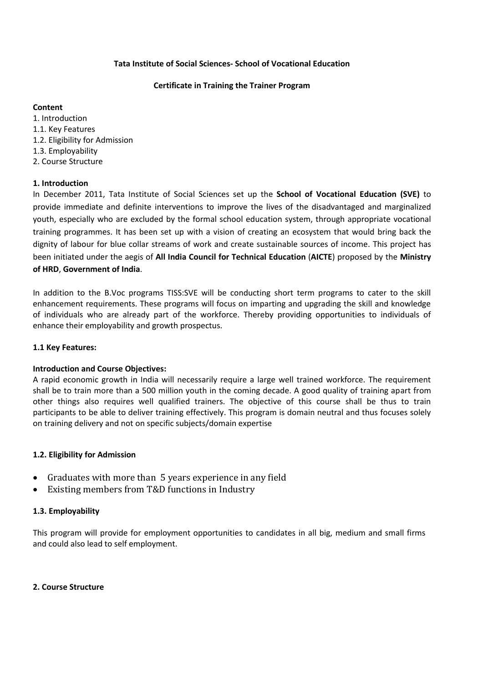#### **Tata Institute of Social Sciences- School of Vocational Education**

#### **Certificate in Training the Trainer Program**

### **Content**

1. Introduction 1.1. Key Features 1.2. Eligibility for Admission 1.3. Employability 2. Course Structure

# **1. Introduction**

In December 2011, Tata Institute of Social Sciences set up the **School of Vocational Education (SVE)** to provide immediate and definite interventions to improve the lives of the disadvantaged and marginalized youth, especially who are excluded by the formal school education system, through appropriate vocational training programmes. It has been set up with a vision of creating an ecosystem that would bring back the dignity of labour for blue collar streams of work and create sustainable sources of income. This project has been initiated under the aegis of **All India Council for Technical Education** (**AICTE**) proposed by the **Ministry of HRD**, **Government of India**.

In addition to the B.Voc programs TISS:SVE will be conducting short term programs to cater to the skill enhancement requirements. These programs will focus on imparting and upgrading the skill and knowledge of individuals who are already part of the workforce. Thereby providing opportunities to individuals of enhance their employability and growth prospectus.

# **1.1 Key Features:**

# **Introduction and Course Objectives:**

A rapid economic growth in India will necessarily require a large well trained workforce. The requirement shall be to train more than a 500 million youth in the coming decade. A good quality of training apart from other things also requires well qualified trainers. The objective of this course shall be thus to train participants to be able to deliver training effectively. This program is domain neutral and thus focuses solely on training delivery and not on specific subjects/domain expertise

# **1.2. Eligibility for Admission**

- Graduates with more than 5 years experience in any field
- Existing members from T&D functions in Industry

# **1.3. Employability**

This program will provide for employment opportunities to candidates in all big, medium and small firms and could also lead to self employment.

# **2. Course Structure**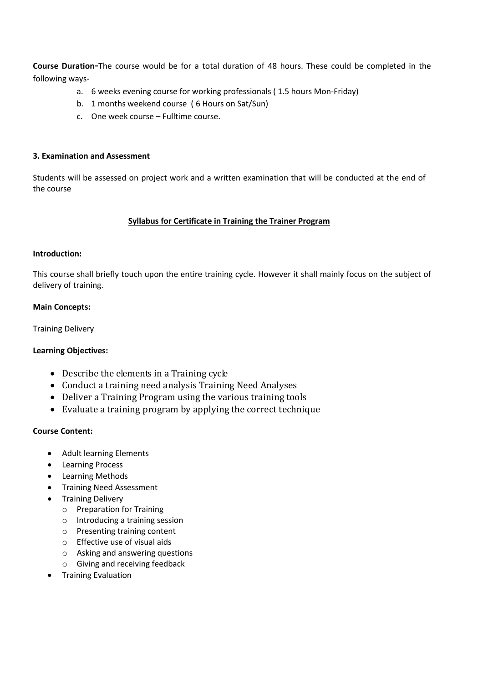**Course Duration-**The course would be for a total duration of 48 hours. These could be completed in the following ways-

- a. 6 weeks evening course for working professionals ( 1.5 hours Mon-Friday)
- b. 1 months weekend course ( 6 Hours on Sat/Sun)
- c. One week course Fulltime course.

#### **3. Examination and Assessment**

Students will be assessed on project work and a written examination that will be conducted at the end of the course

### **Syllabus for Certificate in Training the Trainer Program**

### **Introduction:**

This course shall briefly touch upon the entire training cycle. However it shall mainly focus on the subject of delivery of training.

### **Main Concepts:**

Training Delivery

#### **Learning Objectives:**

- Describe the elements in a Training cycle
- Conduct a training need analysis Training Need Analyses
- Deliver a Training Program using the various training tools
- Evaluate a training program by applying the correct technique

#### **Course Content:**

- Adult learning Elements
- **•** Learning Process
- Learning Methods
- **•** Training Need Assessment
- Training Delivery
	- o Preparation for Training
	- o Introducing a training session
	- o Presenting training content
	- o Effective use of visual aids
	- o Asking and answering questions
	- o Giving and receiving feedback
- **•** Training Evaluation